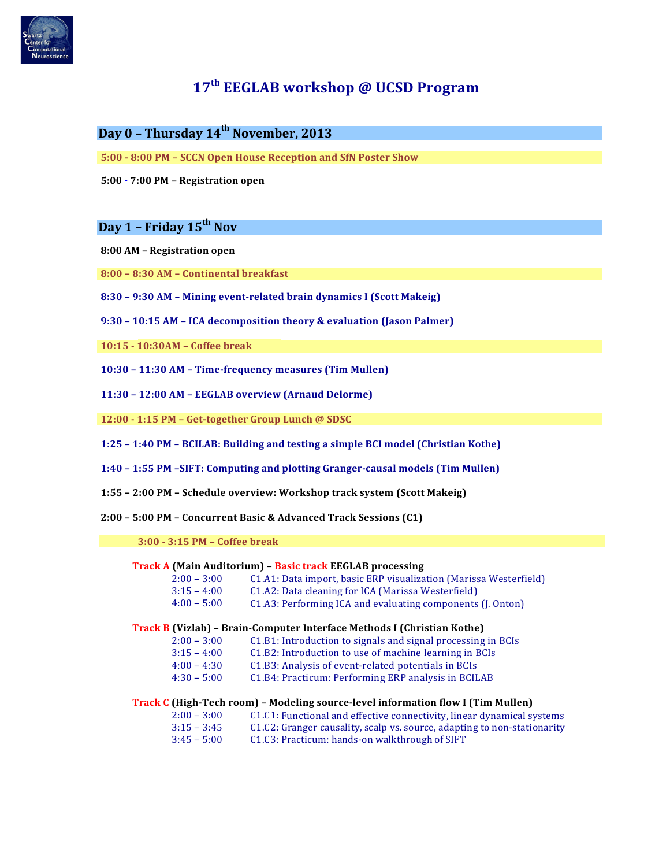

# **17th EEGLAB workshop @ UCSD Program**

# **Day 0 – Thursday 14th November, 2013**

**5:00 - 8:00 PM – SCCN Open House Reception and SfN Poster Show** 

**5:00 - 7:00 PM – Registration open**

# **Day 1 – Friday 15th Nov**

- **8:00 AM – Registration open**
- **8:00 – 8:30 AM – Continental breakfast**
- **8:30 – 9:30 AM – Mining event-related brain dynamics I (Scott Makeig)**
- **9:30 – 10:15 AM – ICA decomposition theory & evaluation (Jason Palmer)**

**10:15 - 10:30AM – Coffee break**

**10:30 – 11:30 AM – Time-frequency measures (Tim Mullen)** 

**11:30 – 12:00 AM – EEGLAB overview (Arnaud Delorme)** 

**12:00 - 1:15 PM – Get-together Group Lunch @ SDSC**

- **1:25 – 1:40 PM – BCILAB: Building and testing a simple BCI model (Christian Kothe)**
- 1:40 1:55 PM -SIFT: Computing and plotting Granger-causal models (Tim Mullen)
- **1:55 – 2:00 PM – Schedule overview: Workshop track system (Scott Makeig)**

**2:00 – 5:00 PM – Concurrent Basic & Advanced Track Sessions (C1)**

**3:00 - 3:15 PM – Coffee break**

#### **Track A (Main Auditorium) – Basic track EEGLAB processing**

| $2:00 - 3:00$ | C1.A1: Data import, basic ERP visualization (Marissa Westerfield) |
|---------------|-------------------------------------------------------------------|
| $3:15 - 4:00$ | C1.A2: Data cleaning for ICA (Marissa Westerfield)                |
| $4:00 - 5:00$ | C1.A3: Performing ICA and evaluating components (J. Onton)        |

### **Track B (Vizlab) – Brain-Computer Interface Methods I (Christian Kothe)**

- $2:00 3:00$  C1.B1: Introduction to signals and signal processing in BCIs
	- $3:15 4:00$  C1.B2: Introduction to use of machine learning in BCIs
	- 4:00 4:30 C1.B3: Analysis of event-related potentials in BCIs
	- 4:30 5:00 C1.B4: Practicum: Performing ERP analysis in BCILAB

#### **Track C (High-Tech room) – Modeling source-level information flow I (Tim Mullen)**

| $2:00 - 3:00$ | C1.C1: Functional and effective connectivity, linear dynamical systems   |
|---------------|--------------------------------------------------------------------------|
| $3:15 - 3:45$ | C1.C2: Granger causality, scalp vs. source, adapting to non-stationarity |
| $3:45 - 5:00$ | C1.C3: Practicum: hands-on walkthrough of SIFT                           |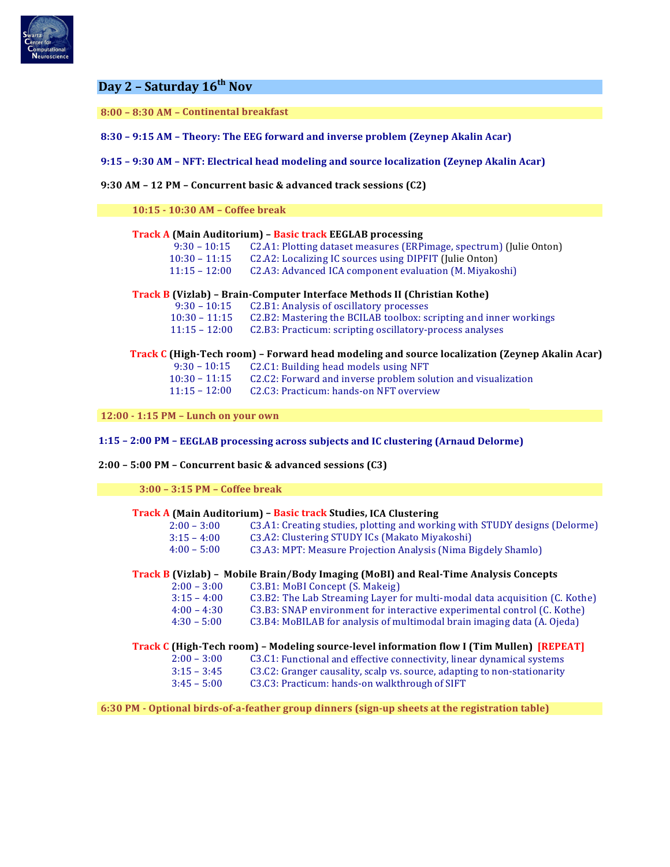

# **Day 2 – Saturday 16th Nov**

**8:00 – 8:30 AM – Continental breakfast**

**8:30 – 9:15 AM – Theory: The EEG forward and inverse problem (Zeynep Akalin Acar)**

**9:15 – 9:30 AM – NFT: Electrical head modeling and source localization (Zeynep Akalin Acar)**

**9:30 AM – 12 PM – Concurrent basic & advanced track sessions (C2)**

**10:15 - 10:30 AM – Coffee break**

## **Track A (Main Auditorium) – Basic track EEGLAB processing**

9:30 - 10:15 C2.A1: Plotting dataset measures (ERPimage, spectrum) (Julie Onton)

10:30 - 11:15 C2.A2: Localizing IC sources using DIPFIT (Julie Onton)

11:15 - 12:00 C2.A3: Advanced ICA component evaluation (M. Miyakoshi)

## **Track B (Vizlab) – Brain-Computer Interface Methods II (Christian Kothe)**

| $9:30 - 10:15$  | C2.B1: Analysis of oscillatory processes                          |
|-----------------|-------------------------------------------------------------------|
| $10:30 - 11:15$ | C2.B2: Mastering the BCILAB toolbox: scripting and inner workings |
| $11:15 - 12:00$ | C2.B3: Practicum: scripting oscillatory-process analyses          |

## **Track C (High-Tech room) – Forward head modeling and source localization (Zeynep Akalin Acar)**

| $9:30 - 10:15$  | C2.C1: Building head models using NFT                         |
|-----------------|---------------------------------------------------------------|
| $10:30 - 11:15$ | C2.C2: Forward and inverse problem solution and visualization |
| $11:15 - 12:00$ | C2.C3: Practicum: hands-on NFT overview                       |

**12:00 - 1:15 PM – Lunch on your own**

**1:15 – 2:00 PM – EEGLAB processing across subjects and IC clustering (Arnaud Delorme)**

#### **2:00 – 5:00 PM – Concurrent basic & advanced sessions (C3)**

**3:00 – 3:15 PM – Coffee break**

#### **Track A (Main Auditorium) – Basic track Studies, ICA Clustering**

| $2:00 - 3:00$ | (3.41: Creating studies, plotting and working with STUDY designs (Delorme) |
|---------------|----------------------------------------------------------------------------|
| $3:15 - 4:00$ | C3.A2: Clustering STUDY ICs (Makato Miyakoshi)                             |
| $4:00 - 5:00$ | C3.A3: MPT: Measure Projection Analysis (Nima Bigdely Shamlo)              |
|               |                                                                            |

# **Track B (Vizlab) – Mobile Brain/Body Imaging (MoBI) and Real-Time Analysis Concepts**

| $2:00 - 3:00$ | C3.B1: MoBI Concept (S. Makeig)                                            |
|---------------|----------------------------------------------------------------------------|
| $3:15 - 4:00$ | C3.B2: The Lab Streaming Laver for multi-modal data acquisition (C. Kothe) |
| $4:00 - 4:30$ | C3.B3: SNAP environment for interactive experimental control (C. Kothe)    |
| $4:30 - 5:00$ | C3.B4: MoBILAB for analysis of multimodal brain imaging data (A. Ojeda)    |

#### **Track C (High-Tech room) – Modeling source-level information flow I (Tim Mullen) [REPEAT]**

- $2:00 3:00$  C3.C1: Functional and effective connectivity, linear dynamical systems
- 3:15 3:45 C3.C2: Granger causality, scalp vs. source, adapting to non-stationarity
- 3:45 5:00 C3.C3: Practicum: hands-on walkthrough of SIFT

**6:30 PM - Optional birds-of-a-feather group dinners (sign-up sheets at the registration table)**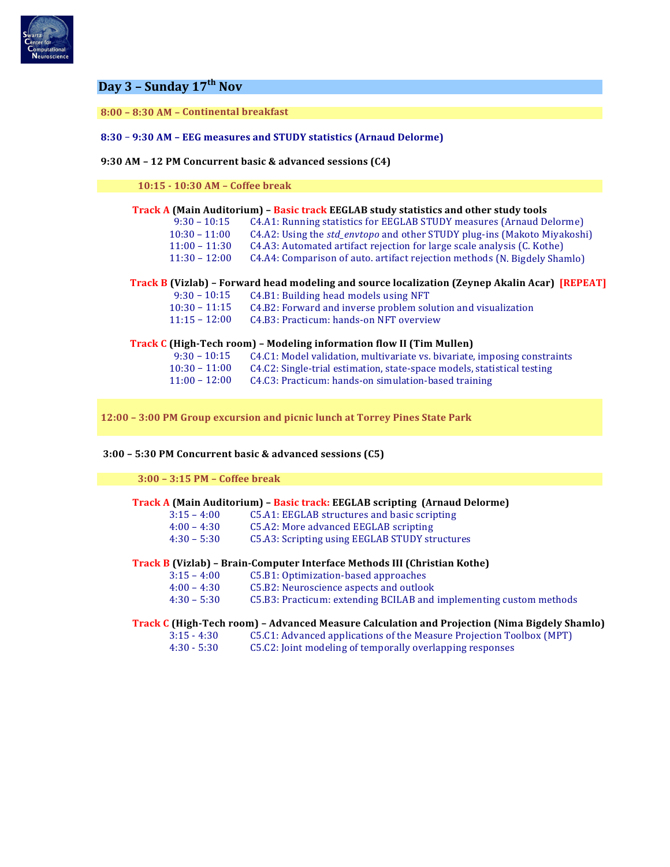

# **Day 3 – Sunday 17th Nov**

# **8:00 – 8:30 AM – Continental breakfast**

**8:30** – **9:30 AM – EEG measures and STUDY statistics (Arnaud Delorme)**

## **9:30 AM – 12 PM Concurrent basic & advanced sessions (C4)**

**10:15 - 10:30 AM – Coffee break**

|                 | Track A (Main Auditorium) – Basic track EEGLAB study statistics and other study tools                 |
|-----------------|-------------------------------------------------------------------------------------------------------|
| $9:30 - 10:15$  | C4.A1: Running statistics for EEGLAB STUDY measures (Arnaud Delorme)                                  |
| $10:30 - 11:00$ | C4.A2: Using the std_envtopo and other STUDY plug-ins (Makoto Miyakoshi)                              |
| $11:00 - 11:30$ | C4.A3: Automated artifact rejection for large scale analysis (C. Kothe)                               |
| $11:30 - 12:00$ | C4.A4: Comparison of auto. artifact rejection methods (N. Bigdely Shamlo)                             |
|                 | <b>Track B (Vizlab)</b> - Forward head modeling and source localization (Zeynep Akalin Acar) [REPEAT] |
| $9:30 - 10:15$  | C4.B1: Building head models using NFT                                                                 |
| $10:30 - 11:15$ | C4.B2: Forward and inverse problem solution and visualization                                         |
| $11:15 - 12:00$ | C4.B3: Practicum: hands-on NFT overview                                                               |
|                 | Track C (High-Tech room) – Modeling information flow II (Tim Mullen)                                  |
| $9:30 - 10:15$  | C4.C1: Model validation, multivariate vs. bivariate, imposing constraints                             |
| $10:30 - 11:00$ | C4.C2: Single-trial estimation, state-space models, statistical testing                               |
| $11:00 - 12:00$ | C4.C3: Practicum: hands-on simulation-based training                                                  |
|                 |                                                                                                       |

**12:00 – 3:00 PM Group excursion and picnic lunch at Torrey Pines State Park**

### **3:00 – 5:30 PM Concurrent basic & advanced sessions (C5)**

### **3:00 – 3:15 PM – Coffee break**

## **Track A (Main Auditorium) - Basic track: EEGLAB scripting (Arnaud Delorme)**

3:15 – 4:00 C5.A1: EEGLAB structures and basic scripting

| $4:00 - 4:30$<br>$4:30 - 5:30$ | C5.A2: More advanced EEGLAB scripting<br>C5.A3: Scripting using EEGLAB STUDY structures |  |
|--------------------------------|-----------------------------------------------------------------------------------------|--|
|                                | Track B (Vizlab) – Brain-Computer Interface Methods III (Christian Kothe)               |  |
| $3:15 - 4:00$                  | C5.B1: Optimization-based approaches                                                    |  |
|                                |                                                                                         |  |

| $3:15 - 4:00$ | C5.B1: Optimization-based approaches    |
|---------------|-----------------------------------------|
| $4:00 - 4:30$ | C5.B2: Neuroscience aspects and outlook |

| 1. V V      | 1.JV | Go.Dz. Neuroscience aspects and outlook                            |
|-------------|------|--------------------------------------------------------------------|
| 4:30 – 5:30 |      | C5.B3: Practicum: extending BCILAB and implementing custom methods |

# **Track C (High-Tech room) – Advanced Measure Calculation and Projection (Nima Bigdely Shamlo)**

- 3:15 4:30 C5.C1: Advanced applications of the Measure Projection Toolbox (MPT)
- 4:30 5:30 C5.C2: Joint modeling of temporally overlapping responses